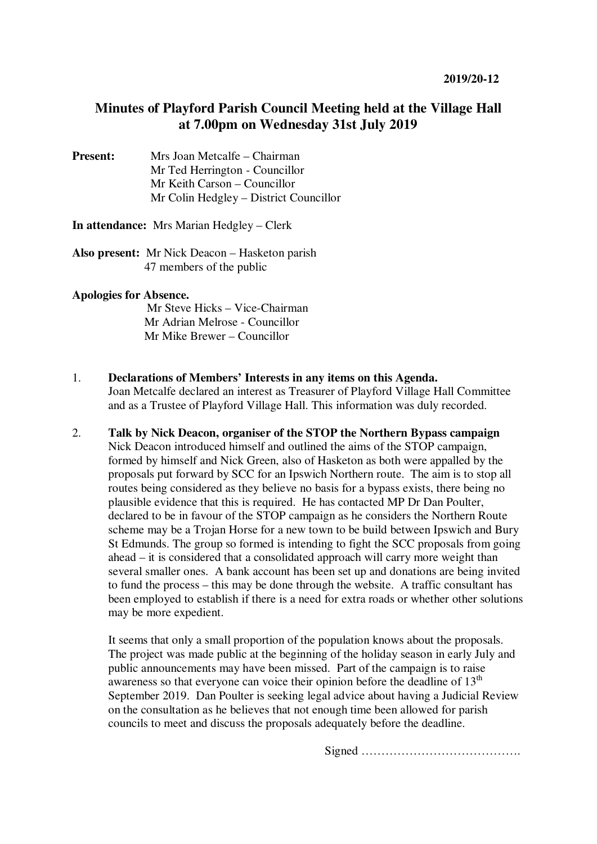# **Minutes of Playford Parish Council Meeting held at the Village Hall at 7.00pm on Wednesday 31st July 2019**

**Present:** Mrs Joan Metcalfe – Chairman Mr Ted Herrington - Councillor Mr Keith Carson – Councillor Mr Colin Hedgley – District Councillor

**In attendance:** Mrs Marian Hedgley – Clerk

**Also present:** Mr Nick Deacon – Hasketon parish 47 members of the public

#### **Apologies for Absence.**

Mr Steve Hicks – Vice-Chairman Mr Adrian Melrose - Councillor Mr Mike Brewer – Councillor

- 1. **Declarations of Members' Interests in any items on this Agenda.**  Joan Metcalfe declared an interest as Treasurer of Playford Village Hall Committee and as a Trustee of Playford Village Hall. This information was duly recorded.
- 2. **Talk by Nick Deacon, organiser of the STOP the Northern Bypass campaign** Nick Deacon introduced himself and outlined the aims of the STOP campaign, formed by himself and Nick Green, also of Hasketon as both were appalled by the proposals put forward by SCC for an Ipswich Northern route. The aim is to stop all routes being considered as they believe no basis for a bypass exists, there being no plausible evidence that this is required. He has contacted MP Dr Dan Poulter, declared to be in favour of the STOP campaign as he considers the Northern Route scheme may be a Trojan Horse for a new town to be build between Ipswich and Bury St Edmunds. The group so formed is intending to fight the SCC proposals from going ahead – it is considered that a consolidated approach will carry more weight than several smaller ones. A bank account has been set up and donations are being invited to fund the process – this may be done through the website. A traffic consultant has been employed to establish if there is a need for extra roads or whether other solutions may be more expedient.

It seems that only a small proportion of the population knows about the proposals. The project was made public at the beginning of the holiday season in early July and public announcements may have been missed. Part of the campaign is to raise awareness so that everyone can voice their opinion before the deadline of  $13<sup>th</sup>$ September 2019. Dan Poulter is seeking legal advice about having a Judicial Review on the consultation as he believes that not enough time been allowed for parish councils to meet and discuss the proposals adequately before the deadline.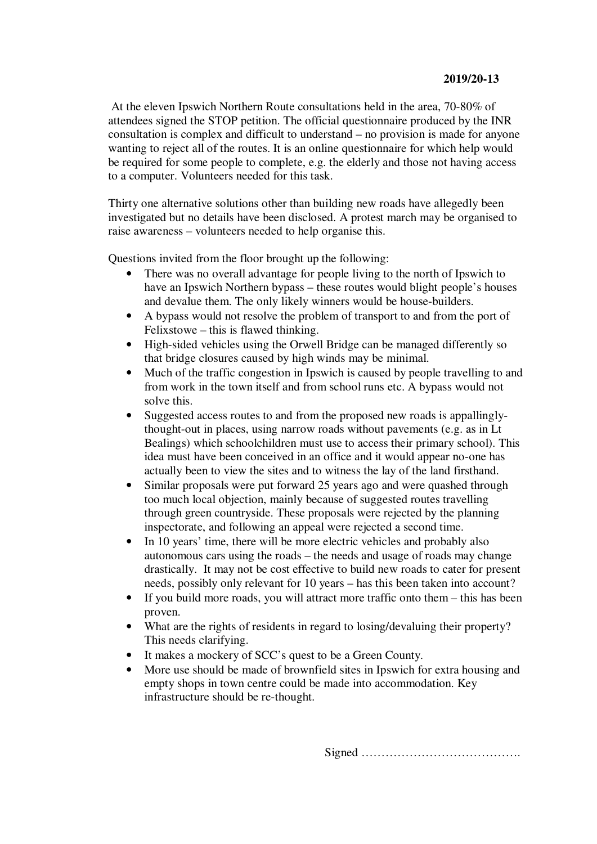At the eleven Ipswich Northern Route consultations held in the area, 70-80% of attendees signed the STOP petition. The official questionnaire produced by the INR consultation is complex and difficult to understand – no provision is made for anyone wanting to reject all of the routes. It is an online questionnaire for which help would be required for some people to complete, e.g. the elderly and those not having access to a computer. Volunteers needed for this task.

Thirty one alternative solutions other than building new roads have allegedly been investigated but no details have been disclosed. A protest march may be organised to raise awareness – volunteers needed to help organise this.

Questions invited from the floor brought up the following:

- There was no overall advantage for people living to the north of Ipswich to have an Ipswich Northern bypass – these routes would blight people's houses and devalue them. The only likely winners would be house-builders.
- A bypass would not resolve the problem of transport to and from the port of Felixstowe – this is flawed thinking.
- High-sided vehicles using the Orwell Bridge can be managed differently so that bridge closures caused by high winds may be minimal.
- Much of the traffic congestion in Ipswich is caused by people travelling to and from work in the town itself and from school runs etc. A bypass would not solve this.
- Suggested access routes to and from the proposed new roads is appallinglythought-out in places, using narrow roads without pavements (e.g. as in Lt Bealings) which schoolchildren must use to access their primary school). This idea must have been conceived in an office and it would appear no-one has actually been to view the sites and to witness the lay of the land firsthand.
- Similar proposals were put forward 25 years ago and were quashed through too much local objection, mainly because of suggested routes travelling through green countryside. These proposals were rejected by the planning inspectorate, and following an appeal were rejected a second time.
- In 10 years' time, there will be more electric vehicles and probably also autonomous cars using the roads – the needs and usage of roads may change drastically. It may not be cost effective to build new roads to cater for present needs, possibly only relevant for 10 years – has this been taken into account?
- If you build more roads, you will attract more traffic onto them this has been proven.
- What are the rights of residents in regard to losing/devaluing their property? This needs clarifying.
- It makes a mockery of SCC's quest to be a Green County.
- More use should be made of brownfield sites in Ipswich for extra housing and empty shops in town centre could be made into accommodation. Key infrastructure should be re-thought.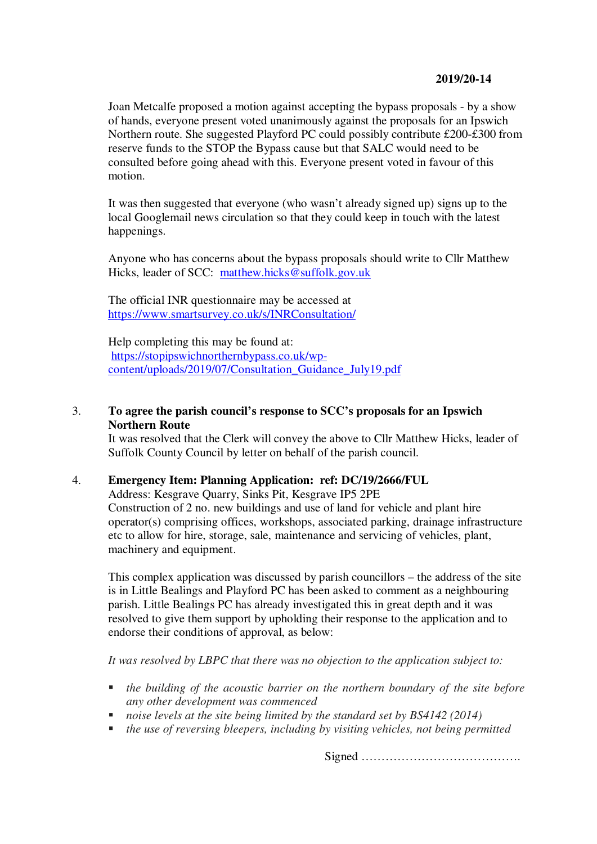Joan Metcalfe proposed a motion against accepting the bypass proposals - by a show of hands, everyone present voted unanimously against the proposals for an Ipswich Northern route. She suggested Playford PC could possibly contribute £200-£300 from reserve funds to the STOP the Bypass cause but that SALC would need to be consulted before going ahead with this. Everyone present voted in favour of this motion.

It was then suggested that everyone (who wasn't already signed up) signs up to the local Googlemail news circulation so that they could keep in touch with the latest happenings.

Anyone who has concerns about the bypass proposals should write to Cllr Matthew Hicks, leader of SCC: matthew.hicks@suffolk.gov.uk

The official INR questionnaire may be accessed at https://www.smartsurvey.co.uk/s/INRConsultation/

Help completing this may be found at: https://stopipswichnorthernbypass.co.uk/wpcontent/uploads/2019/07/Consultation\_Guidance\_July19.pdf

# 3. **To agree the parish council's response to SCC's proposals for an Ipswich Northern Route**

It was resolved that the Clerk will convey the above to Cllr Matthew Hicks, leader of Suffolk County Council by letter on behalf of the parish council.

## 4. **Emergency Item: Planning Application: ref: DC/19/2666/FUL**

Address: Kesgrave Quarry, Sinks Pit, Kesgrave IP5 2PE Construction of 2 no. new buildings and use of land for vehicle and plant hire operator(s) comprising offices, workshops, associated parking, drainage infrastructure etc to allow for hire, storage, sale, maintenance and servicing of vehicles, plant, machinery and equipment.

This complex application was discussed by parish councillors – the address of the site is in Little Bealings and Playford PC has been asked to comment as a neighbouring parish. Little Bealings PC has already investigated this in great depth and it was resolved to give them support by upholding their response to the application and to endorse their conditions of approval, as below:

*It was resolved by LBPC that there was no objection to the application subject to:* 

- *the building of the acoustic barrier on the northern boundary of the site before any other development was commenced*
- *noise levels at the site being limited by the standard set by BS4142 (2014)*
- *the use of reversing bleepers, including by visiting vehicles, not being permitted*